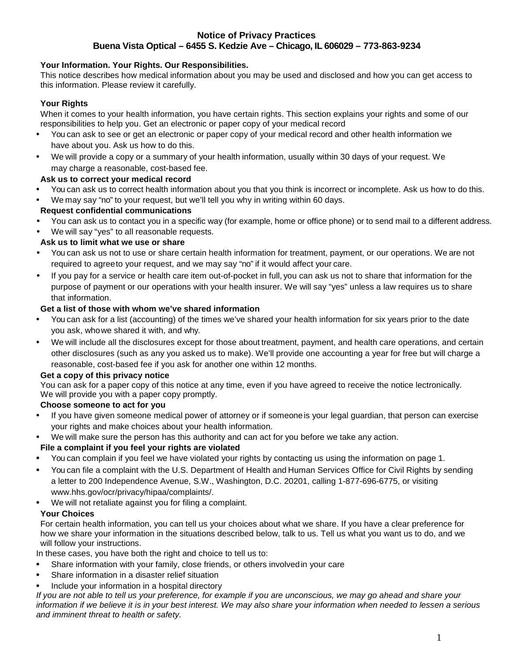## **Notice of Privacy Practices Buena Vista Optical – 6455 S. Kedzie Ave – Chicago, IL 606029 – 773-863-9234**

# **Your Information. Your Rights. Our Responsibilities.**

This notice describes how medical information about you may be used and disclosed and how you can get access to this information. Please review it carefully.

# **Your Rights**

When it comes to your health information, you have certain rights. This section explains your rights and some of our responsibilities to help you. Get an electronic or paper copy of your medical record

- You can ask to see or get an electronic or paper copy of your medical record and other health information we have about you. Ask us how to do this.
- We will provide a copy or a summary of your health information, usually within 30 days of your request. We may charge a reasonable, cost-based fee.

## **Ask us to correct your medical record**

- You can ask us to correct health information about you that you think is incorrect or incomplete. Ask us how to do this.
- We may say "no" to your request, but we'll tell you why in writing within 60 days.

## **Request confidential communications**

- You can ask us to contact you in a specific way (for example, home or office phone) or to send mail to a different address.
- We will say "yes" to all reasonable requests.

## **Ask us to limit what we use or share**

- You can ask us not to use or share certain health information for treatment, payment, or our operations. We are not required to agree to your request, and we may say "no" if it would affect your care.
- If you pay for a service or health care item out-of-pocket in full, you can ask us not to share that information for the purpose of payment or our operations with your health insurer. We will say "yes" unless a law requires us to share that information.

## **Get a list of those with whom we've shared information**

- You can ask for a list (accounting) of the times we've shared your health information for six years prior to the date you ask, who we shared it with, and why.
- We will include all the disclosures except for those about treatment, payment, and health care operations, and certain other disclosures (such as any you asked us to make). We'll provide one accounting a year for free but will charge a reasonable, cost-based fee if you ask for another one within 12 months.

#### **Get a copy of this privacy notice**

You can ask for a paper copy of this notice at any time, even if you have agreed to receive the notice lectronically. We will provide you with a paper copy promptly.

#### **Choose someone to act for you**

- If you have given someone medical power of attorney or if someone is your legal guardian, that person can exercise your rights and make choices about your health information.
- We will make sure the person has this authority and can act for you before we take any action.

# **File a complaint if you feel your rights are violated**

- You can complain if you feel we have violated your rights by contacting us using the information on page 1.
- You can file a complaint with the U.S. Department of Health and Human Services Office for Civil Rights by sending a letter to 200 Independence Avenue, S.W., Washington, D.C. 20201, calling 1-877-696-6775, or visitin[g](http://www.hhs.gov/ocr/privacy/hipaa/complaints/) [www.hhs.gov/ocr/privacy/hipaa/complaints/.](http://www.hhs.gov/ocr/privacy/hipaa/complaints/)
- We will not retaliate against you for filing a complaint.

#### **Your Choices**

For certain health information, you can tell us your choices about what we share. If you have a clear preference for how we share your information in the situations described below, talk to us. Tell us what you want us to do, and we will follow your instructions.

In these cases, you have both the right and choice to tell us to:

- Share information with your family, close friends, or others involved in your care
- Share information in a disaster relief situation
- Include your information in a hospital directory

*If you are not able to tell us your preference, for example if you are unconscious, we may go ahead and share your information if we believe it is in your best interest. We may also share your information when needed to lessen a serious and imminent threat to health or safety.*